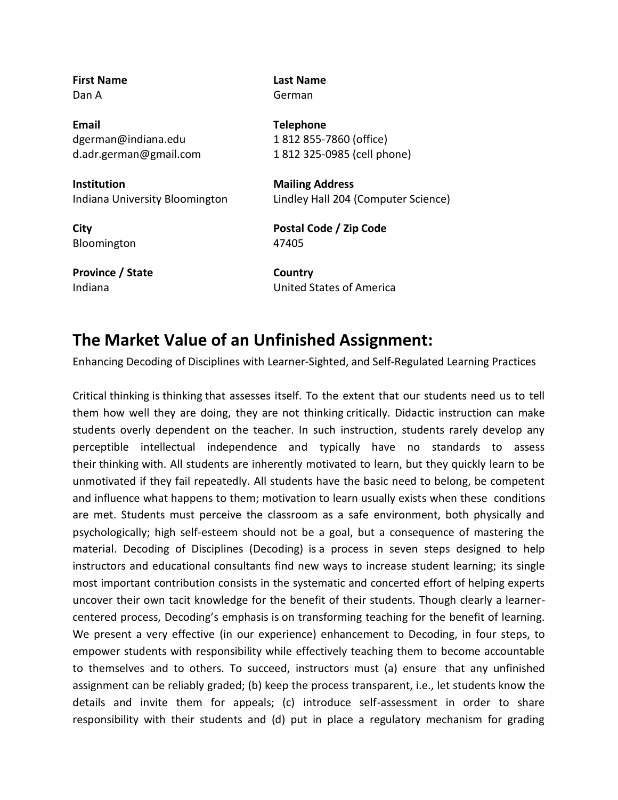| <b>First Name</b><br>Dan A     | Last Name<br>German                 |
|--------------------------------|-------------------------------------|
|                                |                                     |
| Email                          | <b>Telephone</b>                    |
| dgerman@indiana.edu            | 1812855-7860 (office)               |
| d.adr.german@gmail.com         | 1812 325-0985 (cell phone)          |
| Institution                    | <b>Mailing Address</b>              |
| Indiana University Bloomington | Lindley Hall 204 (Computer Science) |
| City                           | Postal Code / Zip Code              |
| Bloomington                    | 47405                               |
| Province / State               | Country                             |
| Indiana                        | United States of America            |
|                                |                                     |

## **The Market Value of an Unfinished Assignment:**

Enhancing Decoding of Disciplines with Learner-Sighted, and Self-Regulated Learning Practices

Critical thinking is thinking that assesses itself. To the extent that our students need us to tell them how well they are doing, they are not thinking critically. Didactic instruction can make students overly dependent on the teacher. In such instruction, students rarely develop any perceptible intellectual independence and typically have no standards to assess their thinking with. All students are inherently motivated to learn, but they quickly learn to be unmotivated if they fail repeatedly. All students have the basic need to belong, be competent and influence what happens to them; motivation to learn usually exists when these conditions are met. Students must perceive the classroom as a safe environment, both physically and psychologically; high self-esteem should not be a goal, but a consequence of mastering the material. Decoding of Disciplines (Decoding) is a process in seven steps designed to help instructors and educational consultants find new ways to increase student learning; its single most important contribution consists in the systematic and concerted effort of helping experts uncover their own tacit knowledge for the benefit of their students. Though clearly a learnercentered process, Decoding's emphasis is on transforming teaching for the benefit of learning. We present a very effective (in our experience) enhancement to Decoding, in four steps, to empower students with responsibility while effectively teaching them to become accountable to themselves and to others. To succeed, instructors must (a) ensure that any unfinished assignment can be reliably graded; (b) keep the process transparent, i.e., let students know the details and invite them for appeals; (c) introduce self-assessment in order to share responsibility with their students and (d) put in place a regulatory mechanism for grading